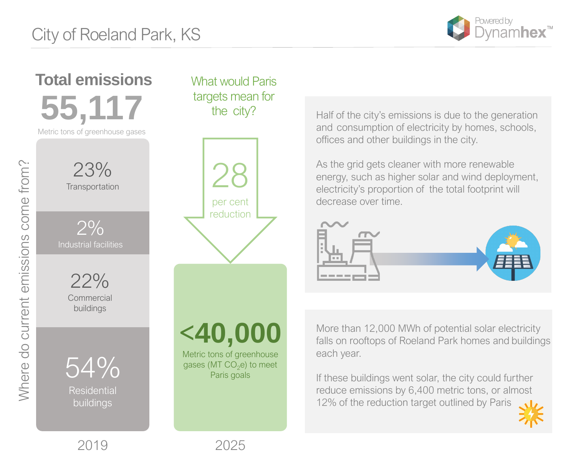<**40,000** Metric tons of greenhouse gases (MT  $CO<sub>2</sub>e$ ) to meet Paris goals

28 per cent reduction



 $2%$ Industrial facilities

23% **Transportation** 

54%

Residential buildings

22% **Commercial** buildings

Half of the city's emissions is due to the generation and consumption of electricity by homes, schools, offices and other buildings in the city.

If these buildings went solar, the city could further reduce emissions by 6,400 metric tons, or almost 12% of the reduction target outlined by Paris









As the grid gets cleaner with more renewable energy, such as higher solar and wind deployment, electricity's proportion of the total footprint will decrease over time.



What would Paris targets mean for the city?

**55,117** Metric tons of greenhouse gases **Total emissions**

> More than 12,000 MWh of potential solar electricity falls on rooftops of Roeland Park homes and buildings each year.

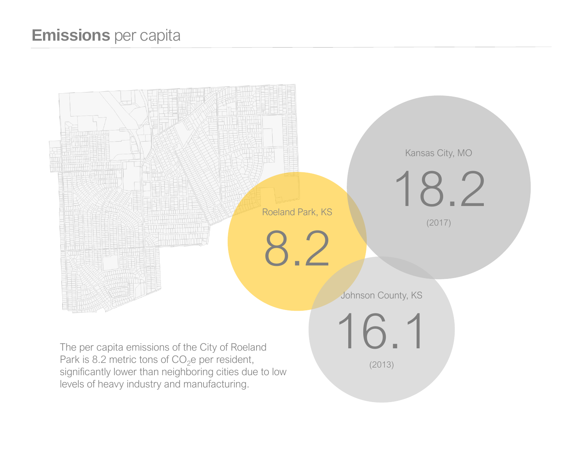## **Emissions** per capita